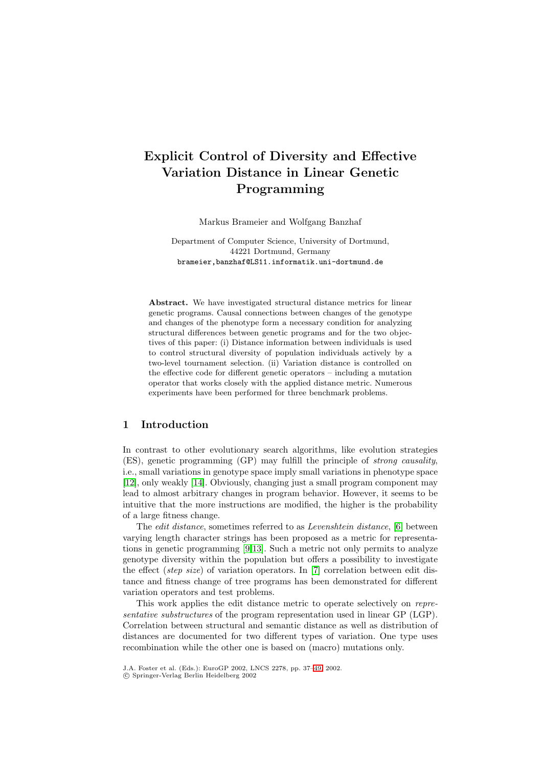# **Explicit Control of Diversity and Effective Variation Distance in Linear Genetic Programming**

Markus Brameier and Wolfgang Banzhaf

Department of Computer Science, University of Dortmund, 44221 Dortmund, Germany brameier,banzhaf@LS11.informatik.uni-dortmund.de

**Abstract.** We have investigated structural distance metrics for linear genetic programs. Causal connections between changes of the genotype and changes of the phenotype form a necessary condition for analyzing structural differences between genetic programs and for the two objectives of this paper: (i) Distance information between individuals is used to control structural diversity of population individuals actively by a two-level tournament selection. (ii) Variation distance is controlled on the effective code for different genetic operators – including a mutation operator that works closely with the applied distance metric. Numerous experiments have been performed for three benchmark problems.

# **1 Introduction**

In contrast to other evolutionary search algorithms, like evolution strategies (ES), genetic programming (GP) may fulfill the principle of strong causality, i.e., small variations in genotype space imply small variations in phenotype space [\[12\]](#page-12-0), only weakly [\[14\]](#page-12-0). Obviously, changing just a small program component may lead to almost arbitrary changes in program behavior. However, it seems to be intuitive that the more instructions are modified, the higher is the probability of a large fitness change.

The edit distance, sometimes referred to as Levenshtein distance, [\[6\]](#page-12-0) between varying length character strings has been proposed as a metric for representations in genetic programming [\[9,13\]](#page-12-0). Such a metric not only permits to analyze genotype diversity within the population but offers a possibility to investigate the effect (step size) of variation operators. In [\[7\]](#page-12-0) correlation between edit distance and fitness change of tree programs has been demonstrated for different variation operators and test problems.

This work applies the edit distance metric to operate selectively on representative substructures of the program representation used in linear GP (LGP). Correlation between structural and semantic distance as well as distribution of distances are documented for two different types of variation. One type uses recombination while the other one is based on (macro) mutations only.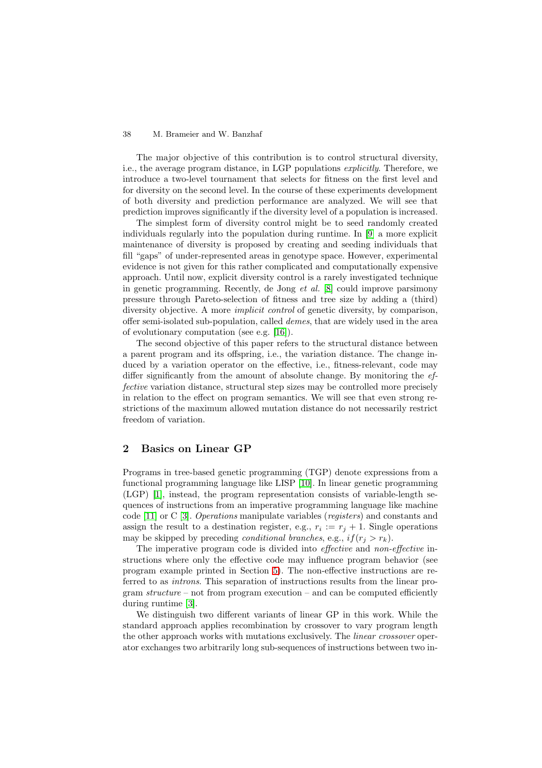The major objective of this contribution is to control structural diversity, i.e., the average program distance, in LGP populations explicitly. Therefore, we introduce a two-level tournament that selects for fitness on the first level and for diversity on the second level. In the course of these experiments development of both diversity and prediction performance are analyzed. We will see that prediction improves significantly if the diversity level of a population is increased.

The simplest form of diversity control might be to seed randomly created individuals regularly into the population during runtime. In [\[9\]](#page-12-0) a more explicit maintenance of diversity is proposed by creating and seeding individuals that fill "gaps" of under-represented areas in genotype space. However, experimental evidence is not given for this rather complicated and computationally expensive approach. Until now, explicit diversity control is a rarely investigated technique in genetic programming. Recently, de Jong  $et \ al. \ [8]$  $et \ al. \ [8]$  could improve parsimony pressure through Pareto-selection of fitness and tree size by adding a (third) diversity objective. A more implicit control of genetic diversity, by comparison, offer semi-isolated sub-population, called demes, that are widely used in the area of evolutionary computation (see e.g. [\[16\]](#page-12-0)).

The second objective of this paper refers to the structural distance between a parent program and its offspring, i.e., the variation distance. The change induced by a variation operator on the effective, i.e., fitness-relevant, code may differ significantly from the amount of absolute change. By monitoring the effective variation distance, structural step sizes may be controlled more precisely in relation to the effect on program semantics. We will see that even strong restrictions of the maximum allowed mutation distance do not necessarily restrict freedom of variation.

#### **2 Basics on Linear GP**

Programs in tree-based genetic programming (TGP) denote expressions from a functional programming language like LISP[\[10\]](#page-12-0). In linear genetic programming (LGP) [\[1\]](#page-11-0), instead, the program representation consists of variable-length sequences of instructions from an imperative programming language like machine code [\[11\]](#page-12-0) or C [\[3\]](#page-12-0). Operations manipulate variables (registers) and constants and assign the result to a destination register, e.g.,  $r_i := r_j + 1$ . Single operations may be skipped by preceding *conditional branches*, e.g.,  $if(r_i > r_k)$ .

The imperative program code is divided into effective and non-effective instructions where only the effective code may influence program behavior (see program example printed in Section [5\)](#page-4-0). The non-effective instructions are referred to as introns. This separation of instructions results from the linear program  $structure$  – not from program execution – and can be computed efficiently during runtime [\[3\]](#page-12-0).

We distinguish two different variants of linear GP in this work. While the standard approach applies recombination by crossover to vary program length the other approach works with mutations exclusively. The linear crossover operator exchanges two arbitrarily long sub-sequences of instructions between two in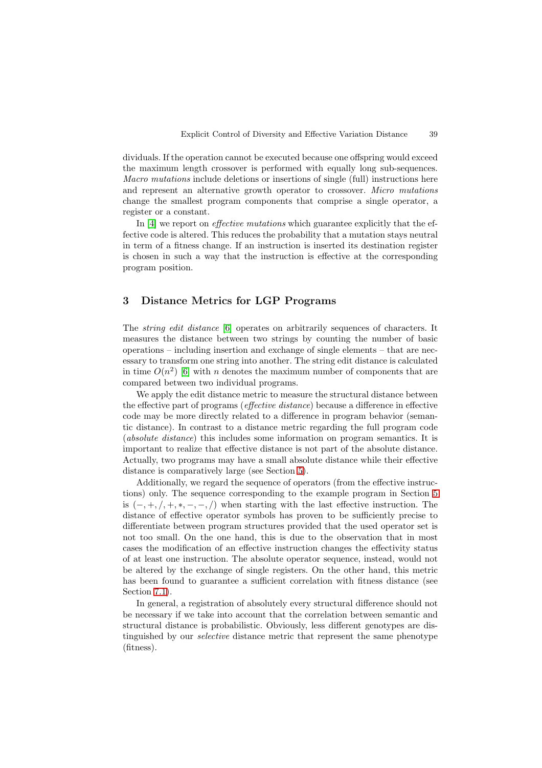<span id="page-2-0"></span>dividuals. If the operation cannot be executed because one offspring would exceed the maximum length crossover is performed with equally long sub-sequences. Macro mutations include deletions or insertions of single (full) instructions here and represent an alternative growth operator to crossover. Micro mutations change the smallest program components that comprise a single operator, a register or a constant.

In [\[4\]](#page-12-0) we report on *effective mutations* which guarantee explicitly that the effective code is altered. This reduces the probability that a mutation stays neutral in term of a fitness change. If an instruction is inserted its destination register is chosen in such a way that the instruction is effective at the corresponding program position.

#### **3Distance Metrics for LGP Programs**

The string edit distance [\[6\]](#page-12-0) operates on arbitrarily sequences of characters. It measures the distance between two strings by counting the number of basic operations – including insertion and exchange of single elements – that are necessary to transform one string into another. The string edit distance is calculated in time  $O(n^2)$  [\[6\]](#page-12-0) with n denotes the maximum number of components that are compared between two individual programs.

We apply the edit distance metric to measure the structural distance between the effective part of programs (effective distance) because a difference in effective code may be more directly related to a difference in program behavior (semantic distance). In contrast to a distance metric regarding the full program code (absolute distance) this includes some information on program semantics. It is important to realize that effective distance is not part of the absolute distance. Actually, two programs may have a small absolute distance while their effective distance is comparatively large (see Section [5\)](#page-4-0).

Additionally, we regard the sequence of operators (from the effective instructions) only. The sequence corresponding to the example program in Section [5](#page-4-0) is  $(-, +, /, +, *,-, -, /)$  when starting with the last effective instruction. The distance of effective operator symbols has proven to be sufficiently precise to differentiate between program structures provided that the used operator set is not too small. On the one hand, this is due to the observation that in most cases the modification of an effective instruction changes the effectivity status of at least one instruction. The absolute operator sequence, instead, would not be altered by the exchange of single registers. On the other hand, this metric has been found to guarantee a sufficient correlation with fitness distance (see Section [7.1\)](#page-7-0).

In general, a registration of absolutely every structural difference should not be necessary if we take into account that the correlation between semantic and structural distance is probabilistic. Obviously, less different genotypes are distinguished by our selective distance metric that represent the same phenotype (fitness).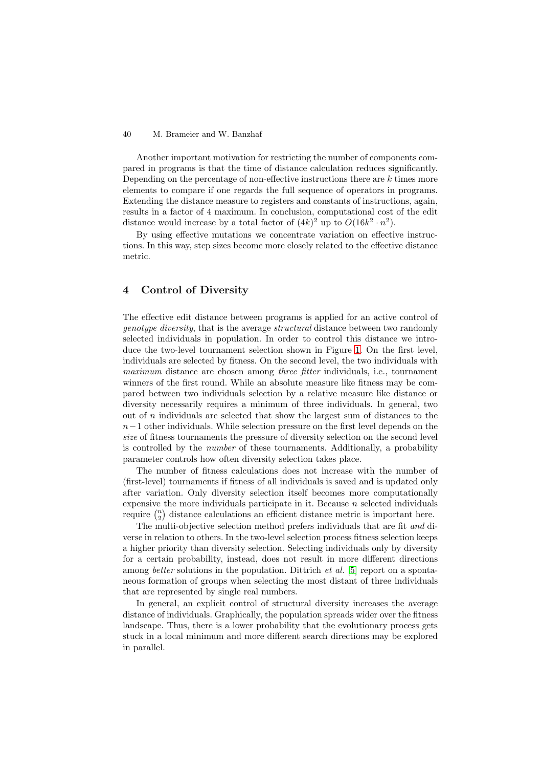Another important motivation for restricting the number of components compared in programs is that the time of distance calculation reduces significantly. Depending on the percentage of non-effective instructions there are  $k$  times more elements to compare if one regards the full sequence of operators in programs. Extending the distance measure to registers and constants of instructions, again, results in a factor of 4 maximum. In conclusion, computational cost of the edit distance would increase by a total factor of  $(4k)^2$  up to  $O(16k^2 \cdot n^2)$ .

By using effective mutations we concentrate variation on effective instructions. In this way, step sizes become more closely related to the effective distance metric.

#### **4 Control of Diversity**

The effective edit distance between programs is applied for an active control of genotype diversity, that is the average structural distance between two randomly selected individuals in population. In order to control this distance we introduce the two-level tournament selection shown in Figure [1.](#page-4-0) On the first level, individuals are selected by fitness. On the second level, the two individuals with maximum distance are chosen among three fitter individuals, i.e., tournament winners of the first round. While an absolute measure like fitness may be compared between two individuals selection by a relative measure like distance or diversity necessarily requires a minimum of three individuals. In general, two out of n individuals are selected that show the largest sum of distances to the  $n-1$  other individuals. While selection pressure on the first level depends on the size of fitness tournaments the pressure of diversity selection on the second level is controlled by the number of these tournaments. Additionally, a probability parameter controls how often diversity selection takes place.

The number of fitness calculations does not increase with the number of (first-level) tournaments if fitness of all individuals is saved and is updated only after variation. Only diversity selection itself becomes more computationally expensive the more individuals participate in it. Because  $n$  selected individuals require  $\binom{n}{2}$  distance calculations an efficient distance metric is important here.

The multi-objective selection method prefers individuals that are fit and diverse in relation to others. In the two-level selection process fitness selection keeps a higher priority than diversity selection. Selecting individuals only by diversity for a certain probability, instead, does not result in more different directions among *better* solutions in the population. Dittrich *et al.* [\[5\]](#page-12-0) report on a spontaneous formation of groups when selecting the most distant of three individuals that are represented by single real numbers.

In general, an explicit control of structural diversity increases the average distance of individuals. Graphically, the population spreads wider over the fitness landscape. Thus, there is a lower probability that the evolutionary process gets stuck in a local minimum and more different search directions may be explored in parallel.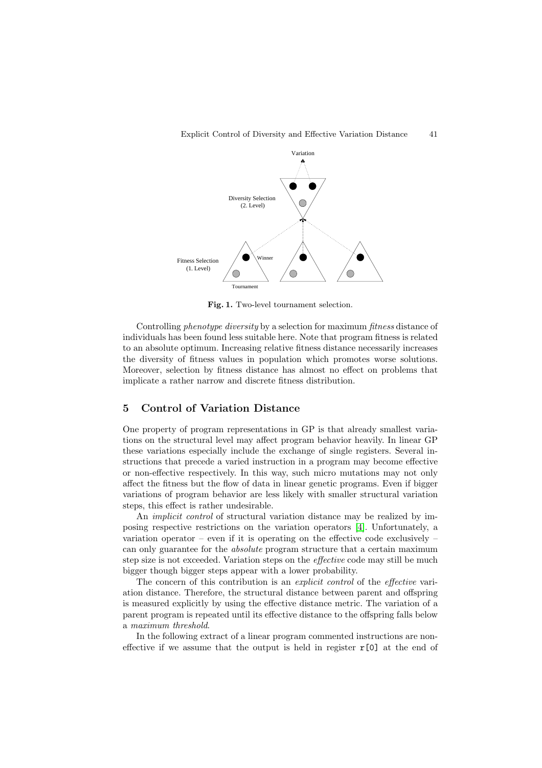<span id="page-4-0"></span>

**Fig. 1.** Two-level tournament selection.

Controlling phenotype diversity by a selection for maximum fitness distance of individuals has been found less suitable here. Note that program fitness is related to an absolute optimum. Increasing relative fitness distance necessarily increases the diversity of fitness values in population which promotes worse solutions. Moreover, selection by fitness distance has almost no effect on problems that implicate a rather narrow and discrete fitness distribution.

# **5 Control of Variation Distance**

One property of program representations in GP is that already smallest variations on the structural level may affect program behavior heavily. In linear GP these variations especially include the exchange of single registers. Several instructions that precede a varied instruction in a program may become effective or non-effective respectively. In this way, such micro mutations may not only affect the fitness but the flow of data in linear genetic programs. Even if bigger variations of program behavior are less likely with smaller structural variation steps, this effect is rather undesirable.

An implicit control of structural variation distance may be realized by imposing respective restrictions on the variation operators [\[4\]](#page-12-0). Unfortunately, a variation operator – even if it is operating on the effective code exclusively – can only guarantee for the absolute program structure that a certain maximum step size is not exceeded. Variation steps on the effective code may still be much bigger though bigger steps appear with a lower probability.

The concern of this contribution is an *explicit control* of the *effective* variation distance. Therefore, the structural distance between parent and offspring is measured explicitly by using the effective distance metric. The variation of a parent program is repeated until its effective distance to the offspring falls below a maximum threshold.

In the following extract of a linear program commented instructions are noneffective if we assume that the output is held in register  $r[0]$  at the end of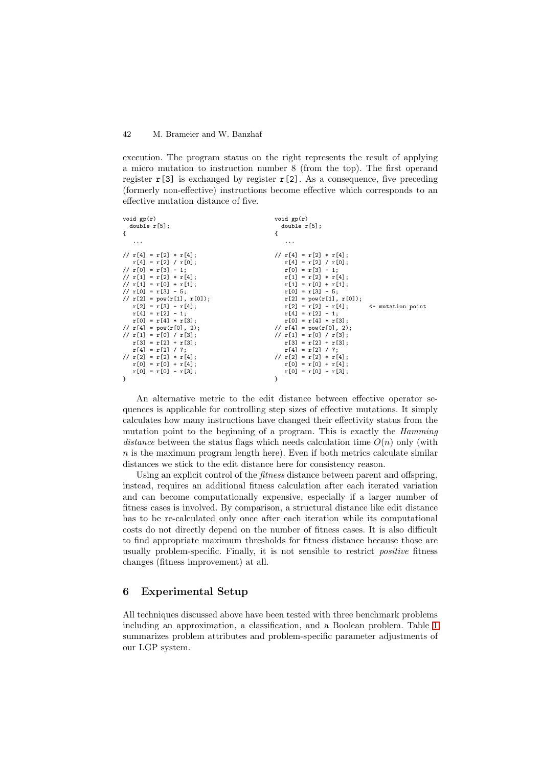<span id="page-5-0"></span>execution. The program status on the right represents the result of applying a micro mutation to instruction number 8 (from the top). The first operand register  $r[3]$  is exchanged by register  $r[2]$ . As a consequence, five preceding (formerly non-effective) instructions become effective which corresponds to an effective mutation distance of five.

| void gp(r)<br>double r[5];<br>$\mathcal{L}$<br>.                                                                                                                                                                                                                                                                                                                                                                                                                 | void $gp(r)$<br>double $r[5]$ ;<br>€<br>.                                                                                                                                                                                                                                                                                                                                                                                                                            |  |
|------------------------------------------------------------------------------------------------------------------------------------------------------------------------------------------------------------------------------------------------------------------------------------------------------------------------------------------------------------------------------------------------------------------------------------------------------------------|----------------------------------------------------------------------------------------------------------------------------------------------------------------------------------------------------------------------------------------------------------------------------------------------------------------------------------------------------------------------------------------------------------------------------------------------------------------------|--|
| // $r[4] = r[2] * r[4];$<br>$r[4] = r[2] / r[0];$<br>// $r[0] = r[3] - 1$ ;<br>// $r[1] = r[2] * r[4];$<br>// $r[1] = r[0] + r[1];$<br>// $r[0] = r[3] - 5;$<br>// $r[2] = pow(r[1], r[0]);$<br>$r[2] = r[3] - r[4];$<br>$r[4] = r[2] - 1;$<br>$r[0] = r[4] * r[3];$<br>// $r[4] = pow(r[0], 2)$ ;<br>// $r[1] = r[0] / r[3];$<br>$r[3] = r[2] + r[3];$<br>$r[4] = r[2] / 7;$<br>// $r[2] = r[2] * r[4];$<br>$r[0] = r[0] + r[4];$<br>$r[0] = r[0] - r[3];$<br>} | // $r[4] = r[2] * r[4];$<br>$r[4] = r[2] / r[0];$<br>$r[0] = r[3] - 1;$<br>$r[1] = r[2] * r[4];$<br>$r[1] = r[0] + r[1];$<br>$r[0] = r[3] - 5;$<br>$r[2] = pow(r[1], r[0]);$<br>$r[2] = r[2] - r[4];$ <- mutation point<br>$r[4] = r[2] - 1;$<br>$r[0] = r[4] * r[3];$<br>// $r[4] = pow(r[0], 2)$ ;<br>// $r[1] = r[0] / r[3];$<br>$r[3] = r[2] + r[3];$<br>$r[4] = r[2] / 7$ ;<br>// $r[2] = r[2] * r[4];$<br>$r[0] = r[0] + r[4];$<br>$r[0] = r[0] - r[3]$ ;<br>} |  |

An alternative metric to the edit distance between effective operator sequences is applicable for controlling step sizes of effective mutations. It simply calculates how many instructions have changed their effectivity status from the mutation point to the beginning of a program. This is exactly the Hamming distance between the status flags which needs calculation time  $O(n)$  only (with  $n$  is the maximum program length here). Even if both metrics calculate similar distances we stick to the edit distance here for consistency reason.

Using an explicit control of the *fitness* distance between parent and offspring, instead, requires an additional fitness calculation after each iterated variation and can become computationally expensive, especially if a larger number of fitness cases is involved. By comparison, a structural distance like edit distance has to be re-calculated only once after each iteration while its computational costs do not directly depend on the number of fitness cases. It is also difficult to find appropriate maximum thresholds for fitness distance because those are usually problem-specific. Finally, it is not sensible to restrict *positive* fitness changes (fitness improvement) at all.

# **6 Experimental Setup**

All techniques discussed above have been tested with three benchmark problems including an approximation, a classification, and a Boolean problem. Table [1](#page-6-0) summarizes problem attributes and problem-specific parameter adjustments of our LGP system.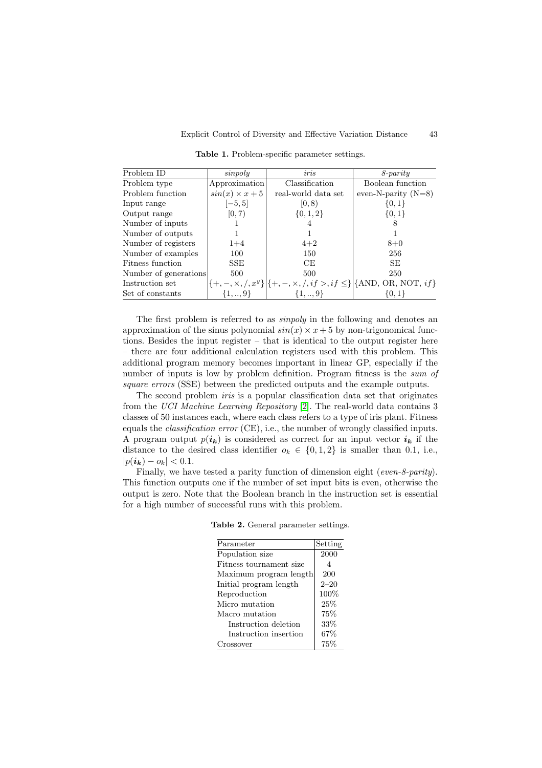<span id="page-6-0"></span>

| Problem ID            | sinpoly               | iris                                                                                                               | $8$ -parity           |
|-----------------------|-----------------------|--------------------------------------------------------------------------------------------------------------------|-----------------------|
| Problem type          | Approximation         | Classification                                                                                                     | Boolean function      |
| Problem function      | $sin(x) \times x + 5$ | real-world data set                                                                                                | even-N-parity $(N=8)$ |
| Input range           | $[-5, 5]$             | [0, 8)                                                                                                             | $\{0,1\}$             |
| Output range          | [0, 7)                | $\{0, 1, 2\}$                                                                                                      | $\{0,1\}$             |
| Number of inputs      |                       | 4                                                                                                                  |                       |
| Number of outputs     |                       |                                                                                                                    |                       |
| Number of registers   | $1+4$                 | $4 + 2$                                                                                                            | $8 + 0$               |
| Number of examples    | 100                   | 150                                                                                                                | 256                   |
| Fitness function      | SSE                   | CE                                                                                                                 | SE.                   |
| Number of generations | 500                   | 500                                                                                                                | 250                   |
| Instruction set       |                       | ${+, -, \times, /, x^y} \Big  {\{+, -, \times, /, if >, if \leq \} } {\{\text{AND}, \text{OR}, \text{NOT}, if \}}$ |                       |
| Set of constants      | $\{1, , 9\}$          | $\{1, , 9\}$                                                                                                       | $\{0,1\}$             |

**Table 1.** Problem-specific parameter settings.

The first problem is referred to as *sinpoly* in the following and denotes an approximation of the sinus polynomial  $sin(x) \times x + 5$  by non-trigonomical functions. Besides the input register – that is identical to the output register here – there are four additional calculation registers used with this problem. This additional program memory becomes important in linear GP, especially if the number of inputs is low by problem definition. Program fitness is the sum of square errors (SSE) between the predicted outputs and the example outputs.

The second problem *iris* is a popular classification data set that originates from the UCI Machine Learning Repository [\[2\]](#page-11-0). The real-world data contains 3 classes of 50 instances each, where each class refers to a type of iris plant. Fitness equals the classification error (CE), i.e., the number of wrongly classified inputs. A program output  $p(i_k)$  is considered as correct for an input vector  $i_k$  if the distance to the desired class identifier  $o_k \in \{0,1,2\}$  is smaller than 0.1, i.e.,  $|p(i_k) - o_k| < 0.1$ .

Finally, we have tested a parity function of dimension eight (even-8-parity). This function outputs one if the number of set input bits is even, otherwise the output is zero. Note that the Boolean branch in the instruction set is essential for a high number of successful runs with this problem.

| Parameter               | Setting  |
|-------------------------|----------|
| Population size         | 2000     |
| Fitness tournament size | 4        |
| Maximum program length  | 200      |
| Initial program length  | $2 - 20$ |
| Reproduction            | 100%     |
| Micro mutation          | 25\%     |
| Macro mutation          | 75%      |
| Instruction deletion    | 33%      |
| Instruction insertion   | 67\%     |
| Crossover               | 75%      |

**Table 2.** General parameter settings.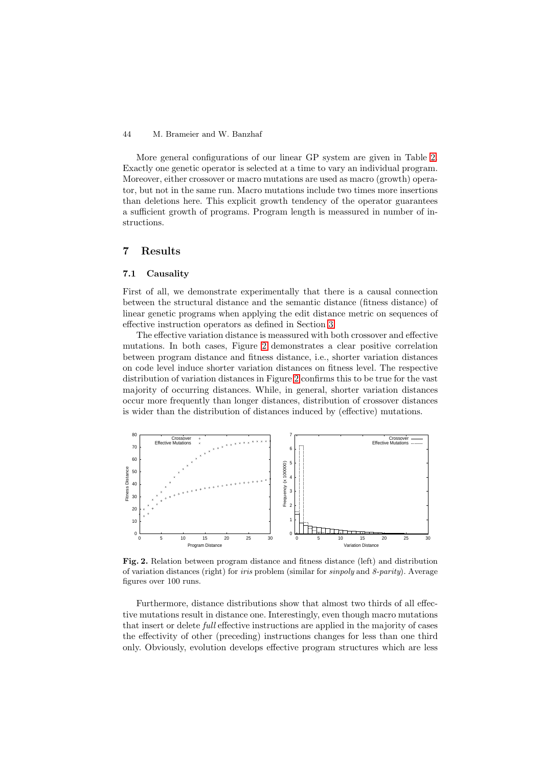<span id="page-7-0"></span>More general configurations of our linear GP system are given in Table [2.](#page-6-0) Exactly one genetic operator is selected at a time to vary an individual program. Moreover, either crossover or macro mutations are used as macro (growth) operator, but not in the same run. Macro mutations include two times more insertions than deletions here. This explicit growth tendency of the operator guarantees a sufficient growth of programs. Program length is meassured in number of instructions.

#### **7 Results**

#### **7.1 Causality**

First of all, we demonstrate experimentally that there is a causal connection between the structural distance and the semantic distance (fitness distance) of linear genetic programs when applying the edit distance metric on sequences of effective instruction operators as defined in Section [3.](#page-2-0)

The effective variation distance is meassured with both crossover and effective mutations. In both cases, Figure 2 demonstrates a clear positive correlation between program distance and fitness distance, i.e., shorter variation distances on code level induce shorter variation distances on fitness level. The respective distribution of variation distances in Figure 2 confirms this to be true for the vast majority of occurring distances. While, in general, shorter variation distances occur more frequently than longer distances, distribution of crossover distances is wider than the distribution of distances induced by (effective) mutations.



**Fig. 2.** Relation between program distance and fitness distance (left) and distribution of variation distances (right) for *iris* problem (similar for *sinpoly* and  $8$ -*parity*). Average figures over 100 runs.

Furthermore, distance distributions show that almost two thirds of all effective mutations result in distance one. Interestingly, even though macro mutations that insert or delete full effective instructions are applied in the majority of cases the effectivity of other (preceding) instructions changes for less than one third only. Obviously, evolution develops effective program structures which are less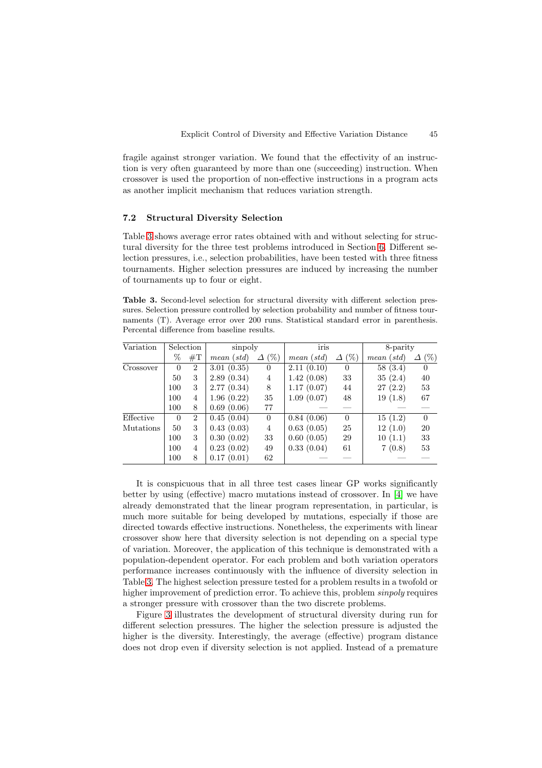fragile against stronger variation. We found that the effectivity of an instruction is very often guaranteed by more than one (succeeding) instruction. When crossover is used the proportion of non-effective instructions in a program acts as another implicit mechanism that reduces variation strength.

#### **7.2 Structural Diversity Selection**

Table 3 shows average error rates obtained with and without selecting for structural diversity for the three test problems introduced in Section [6.](#page-5-0) Different selection pressures, i.e., selection probabilities, have been tested with three fitness tournaments. Higher selection pressures are induced by increasing the number of tournaments up to four or eight.

**Table 3.** Second-level selection for structural diversity with different selection pressures. Selection pressure controlled by selection probability and number of fitness tournaments (T). Average error over 200 runs. Statistical standard error in parenthesis. Percental difference from baseline results.

| Variation        | Selection |                | sinpoly    |                | iris                     |                 | 8-parity   |                |
|------------------|-----------|----------------|------------|----------------|--------------------------|-----------------|------------|----------------|
|                  | %         | #T             | mean (std) | $(\%)$<br>Δ    | mean (std)               | $\varDelta$ (%) | mean (std) | $(\%)$<br>Δ    |
| Crossover        | $\Omega$  | $\overline{2}$ | 3.01(0.35) | $\overline{0}$ | 2.11(0.10)               | $\Omega$        | 58(3.4)    | $\overline{0}$ |
|                  | 50        | 3              | 2.89(0.34) | 4              | 1.42(0.08)               | 33              | 35(2.4)    | 40             |
|                  | 100       | 3              | 2.77(0.34) | 8              | 1.17(0.07)               | 44              | 27(2.2)    | 53             |
|                  | 100       | 4              | 1.96(0.22) | 35             | 1.09(0.07)               | 48              | 19(1.8)    | 67             |
|                  | 100       | 8              | 0.69(0.06) | 77             |                          |                 |            |                |
| Effective        | $\Omega$  | $\overline{2}$ | 0.45(0.04) | $\overline{0}$ | $\overline{0.84}$ (0.06) | $\Omega$        | 15(1.2)    | $\Omega$       |
| <b>Mutations</b> | 50        | 3              | 0.43(0.03) | $\overline{4}$ | 0.63(0.05)               | 25              | 12(1.0)    | 20             |
|                  | 100       | 3              | 0.30(0.02) | 33             | 0.60(0.05)               | 29              | 10(1.1)    | 33             |
|                  | 100       | 4              | 0.23(0.02) | 49             | 0.33(0.04)               | 61              | 7(0.8)     | 53             |
|                  | 100       | 8              | 0.17(0.01) | 62             |                          |                 |            |                |

It is conspicuous that in all three test cases linear GP works significantly better by using (effective) macro mutations instead of crossover. In [\[4\]](#page-12-0) we have already demonstrated that the linear program representation, in particular, is much more suitable for being developed by mutations, especially if those are directed towards effective instructions. Nonetheless, the experiments with linear crossover show here that diversity selection is not depending on a special type of variation. Moreover, the application of this technique is demonstrated with a population-dependent operator. For each problem and both variation operators performance increases continuously with the influence of diversity selection in Table 3. The highest selection pressure tested for a problem results in a twofold or higher improvement of prediction error. To achieve this, problem *sinpoly* requires a stronger pressure with crossover than the two discrete problems.

Figure [3](#page-9-0) illustrates the development of structural diversity during run for different selection pressures. The higher the selection pressure is adjusted the higher is the diversity. Interestingly, the average (effective) program distance does not drop even if diversity selection is not applied. Instead of a premature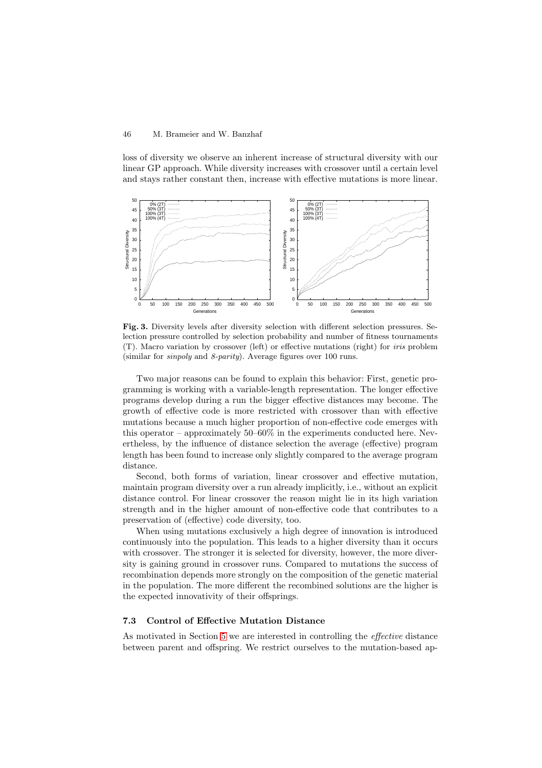<span id="page-9-0"></span>loss of diversity we observe an inherent increase of structural diversity with our linear GP approach. While diversity increases with crossover until a certain level and stays rather constant then, increase with effective mutations is more linear.



**Fig. 3.** Diversity levels after diversity selection with different selection pressures. Selection pressure controlled by selection probability and number of fitness tournaments (T). Macro variation by crossover (left) or effective mutations (right) for iris problem (similar for sinpoly and 8-parity). Average figures over 100 runs.

Two major reasons can be found to explain this behavior: First, genetic programming is working with a variable-length representation. The longer effective programs develop during a run the bigger effective distances may become. The growth of effective code is more restricted with crossover than with effective mutations because a much higher proportion of non-effective code emerges with this operator – approximately  $50-60\%$  in the experiments conducted here. Nevertheless, by the influence of distance selection the average (effective) program length has been found to increase only slightly compared to the average program distance.

Second, both forms of variation, linear crossover and effective mutation, maintain program diversity over a run already implicitly, i.e., without an explicit distance control. For linear crossover the reason might lie in its high variation strength and in the higher amount of non-effective code that contributes to a preservation of (effective) code diversity, too.

When using mutations exclusively a high degree of innovation is introduced continuously into the population. This leads to a higher diversity than it occurs with crossover. The stronger it is selected for diversity, however, the more diversity is gaining ground in crossover runs. Compared to mutations the success of recombination depends more strongly on the composition of the genetic material in the population. The more different the recombined solutions are the higher is the expected innovativity of their offsprings.

#### **7.3 Control of Effective Mutation Distance**

As motivated in Section [5](#page-4-0) we are interested in controlling the effective distance between parent and offspring. We restrict ourselves to the mutation-based ap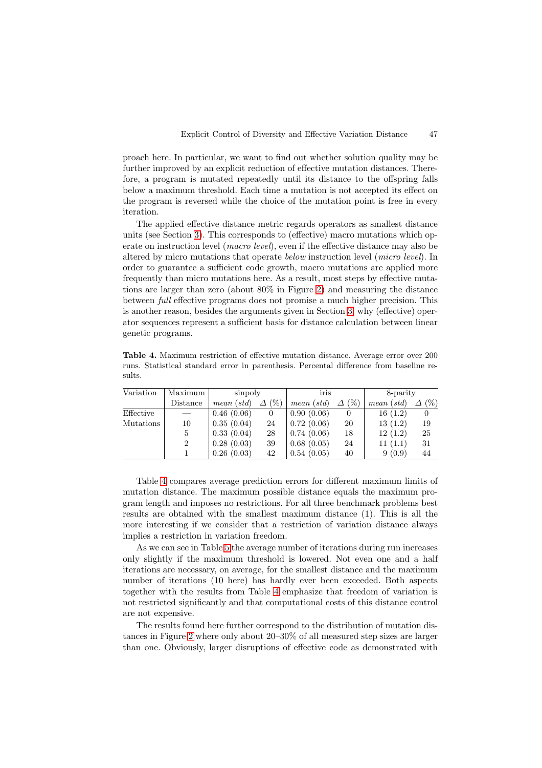proach here. In particular, we want to find out whether solution quality may be further improved by an explicit reduction of effective mutation distances. Therefore, a program is mutated repeatedly until its distance to the offspring falls below a maximum threshold. Each time a mutation is not accepted its effect on the program is reversed while the choice of the mutation point is free in every iteration.

The applied effective distance metric regards operators as smallest distance units (see Section [3\)](#page-2-0). This corresponds to (effective) macro mutations which operate on instruction level (macro level), even if the effective distance may also be altered by micro mutations that operate below instruction level (micro level). In order to guarantee a sufficient code growth, macro mutations are applied more frequently than micro mutations here. As a result, most steps by effective mutations are larger than zero (about 80% in Figure [2\)](#page-7-0) and measuring the distance between full effective programs does not promise a much higher precision. This is another reason, besides the arguments given in Section [3,](#page-2-0) why (effective) operator sequences represent a sufficient basis for distance calculation between linear genetic programs.

**Table 4.** Maximum restriction of effective mutation distance. Average error over 200 runs. Statistical standard error in parenthesis. Percental difference from baseline results.

| Variation        | Maximum        | sinpoly    |              | iris       |          | 8-parity   |              |
|------------------|----------------|------------|--------------|------------|----------|------------|--------------|
|                  | Distance       | mean (std) | $\Delta$ (%) | mean (std) | $(\%)$   | mean (std) | $\Delta$ (%) |
| Effective        |                | 0.46(0.06) | 0            | 0.90(0.06) | $\theta$ | 16(1.2)    | $\theta$     |
| <b>Mutations</b> | 10             | 0.35(0.04) | 24           | 0.72(0.06) | 20       | 13(1.2)    | 19           |
|                  | 5              | 0.33(0.04) | 28           | 0.74(0.06) | 18       | 12(1.2)    | 25           |
|                  | $\overline{2}$ | 0.28(0.03) | 39           | 0.68(0.05) | 24       | 11(1.1)    | 31           |
|                  |                | 0.26(0.03) | 42           | 0.54(0.05) | 40       | 9(0.9)     | 44           |

Table 4 compares average prediction errors for different maximum limits of mutation distance. The maximum possible distance equals the maximum program length and imposes no restrictions. For all three benchmark problems best results are obtained with the smallest maximum distance (1). This is all the more interesting if we consider that a restriction of variation distance always implies a restriction in variation freedom.

As we can see in Table [5](#page-11-0) the average number of iterations during run increases only slightly if the maximum threshold is lowered. Not even one and a half iterations are necessary, on average, for the smallest distance and the maximum number of iterations (10 here) has hardly ever been exceeded. Both aspects together with the results from Table 4 emphasize that freedom of variation is not restricted significantly and that computational costs of this distance control are not expensive.

The results found here further correspond to the distribution of mutation distances in Figure [2](#page-7-0) where only about 20–30% of all measured step sizes are larger than one. Obviously, larger disruptions of effective code as demonstrated with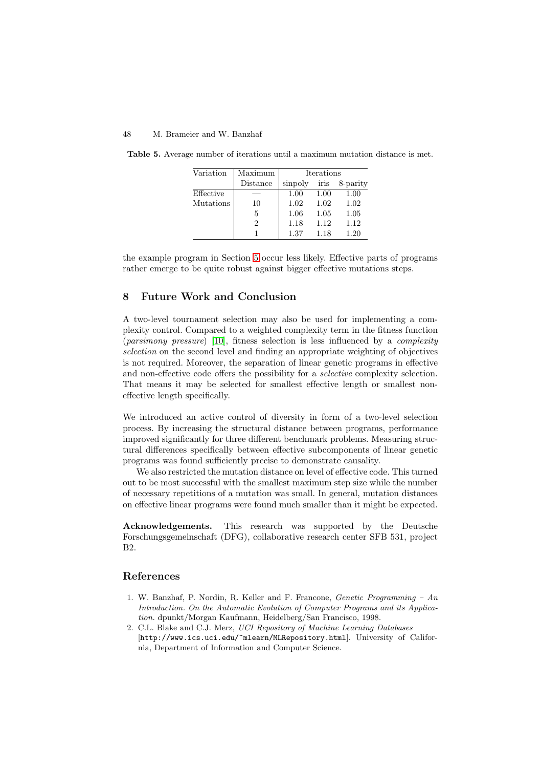| Variation | Maximum  | Iterations |      |          |  |
|-----------|----------|------------|------|----------|--|
|           | Distance | sinpoly    | iris | 8-parity |  |
| Effective |          | 1.00       | 1.00 | 1.00     |  |
| Mutations | 10       | 1.02       | 1.02 | 1.02     |  |
|           | 5        | 1.06       | 1.05 | 1.05     |  |
|           | 2        | 1.18       | 1.12 | 1.12     |  |
|           |          | 1.37       | 1.18 | 1.20     |  |

<span id="page-11-0"></span>**Table 5.** Average number of iterations until a maximum mutation distance is met.

the example program in Section [5](#page-4-0) occur less likely. Effective parts of programs rather emerge to be quite robust against bigger effective mutations steps.

#### **8 Future Work and Conclusion**

A two-level tournament selection may also be used for implementing a complexity control. Compared to a weighted complexity term in the fitness function (*parsimony pressure*) [\[10\]](#page-12-0), fitness selection is less influenced by a *complexity* selection on the second level and finding an appropriate weighting of objectives is not required. Moreover, the separation of linear genetic programs in effective and non-effective code offers the possibility for a *selective* complexity selection. That means it may be selected for smallest effective length or smallest noneffective length specifically.

We introduced an active control of diversity in form of a two-level selection process. By increasing the structural distance between programs, performance improved significantly for three different benchmark problems. Measuring structural differences specifically between effective subcomponents of linear genetic programs was found sufficiently precise to demonstrate causality.

We also restricted the mutation distance on level of effective code. This turned out to be most successful with the smallest maximum step size while the number of necessary repetitions of a mutation was small. In general, mutation distances on effective linear programs were found much smaller than it might be expected.

**Acknowledgements.** This research was supported by the Deutsche Forschungsgemeinschaft (DFG), collaborative research center SFB 531, project B2.

# **References**

- 1. W. Banzhaf, P. Nordin, R. Keller and F. Francone, Genetic Programming An Introduction. On the Automatic Evolution of Computer Programs and its Application. dpunkt/Morgan Kaufmann, Heidelberg/San Francisco, 1998.
- 2. C.L. Blake and C.J. Merz, UCI Repository of Machine Learning Databases [http://www.ics.uci.edu/˜mlearn/MLRepository.html]. University of California, Department of Information and Computer Science.